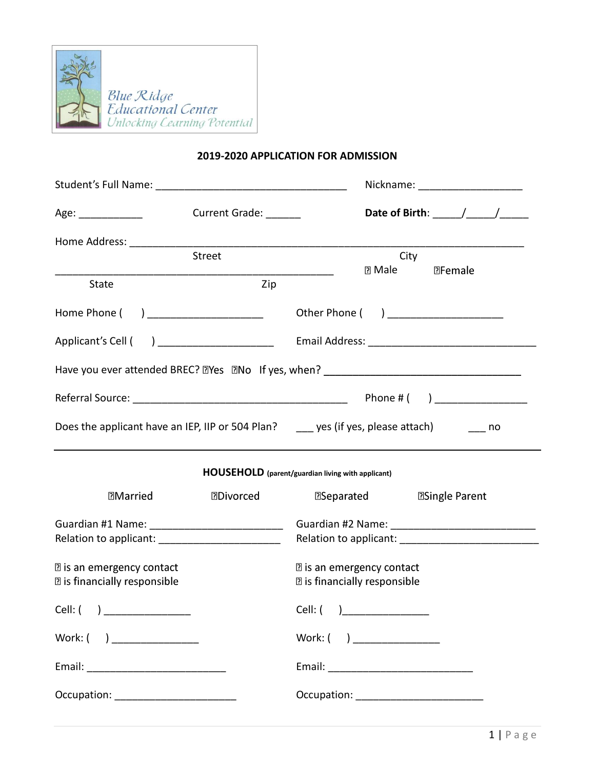

## **2019-2020 APPLICATION FOR ADMISSION**

|                                                      |                       | Nickname: ______________________                                                                                                                                                                                                                                                                                   |
|------------------------------------------------------|-----------------------|--------------------------------------------------------------------------------------------------------------------------------------------------------------------------------------------------------------------------------------------------------------------------------------------------------------------|
| Age:                                                 | Current Grade: ______ | Date of Birth: $\frac{1}{2}$ $\frac{1}{2}$ $\frac{1}{2}$ $\frac{1}{2}$ $\frac{1}{2}$ $\frac{1}{2}$ $\frac{1}{2}$ $\frac{1}{2}$ $\frac{1}{2}$ $\frac{1}{2}$ $\frac{1}{2}$ $\frac{1}{2}$ $\frac{1}{2}$ $\frac{1}{2}$ $\frac{1}{2}$ $\frac{1}{2}$ $\frac{1}{2}$ $\frac{1}{2}$ $\frac{1}{2}$ $\frac{1}{2}$ $\frac{1}{$ |
|                                                      | Street                | City                                                                                                                                                                                                                                                                                                               |
|                                                      |                       | <b>DFemale</b><br>$\Box$ Male                                                                                                                                                                                                                                                                                      |
| <b>State</b>                                         | Zip                   |                                                                                                                                                                                                                                                                                                                    |
| Home Phone ( ) _____________________                 |                       | Other Phone ( ) _____________________                                                                                                                                                                                                                                                                              |
| Applicant's Cell ( ) ______________________          |                       |                                                                                                                                                                                                                                                                                                                    |
|                                                      |                       |                                                                                                                                                                                                                                                                                                                    |
|                                                      |                       |                                                                                                                                                                                                                                                                                                                    |
|                                                      |                       | Does the applicant have an IEP, IIP or 504 Plan? _____ yes (if yes, please attach) _________ no                                                                                                                                                                                                                    |
|                                                      |                       | <b>HOUSEHOLD</b> (parent/guardian living with applicant)                                                                                                                                                                                                                                                           |
| <b>Married</b>                                       | <b>DDIvorced</b>      | <b>ESeparated</b><br><b>ESingle Parent</b>                                                                                                                                                                                                                                                                         |
| Guardian #1 Name: _____________________________      |                       |                                                                                                                                                                                                                                                                                                                    |
| Relation to applicant: _______________________       |                       |                                                                                                                                                                                                                                                                                                                    |
| <b>D</b> is an emergency contact                     |                       | <b>D</b> is an emergency contact                                                                                                                                                                                                                                                                                   |
| <b>D</b> is financially responsible                  |                       | <b>D</b> is financially responsible                                                                                                                                                                                                                                                                                |
| Cell: $\begin{pmatrix} 1 & 1 \\ 1 & 1 \end{pmatrix}$ |                       | Cell: ( )                                                                                                                                                                                                                                                                                                          |
| Work: $($ ) __________________                       |                       | Work: $( )$ _________________                                                                                                                                                                                                                                                                                      |
|                                                      |                       |                                                                                                                                                                                                                                                                                                                    |
|                                                      |                       |                                                                                                                                                                                                                                                                                                                    |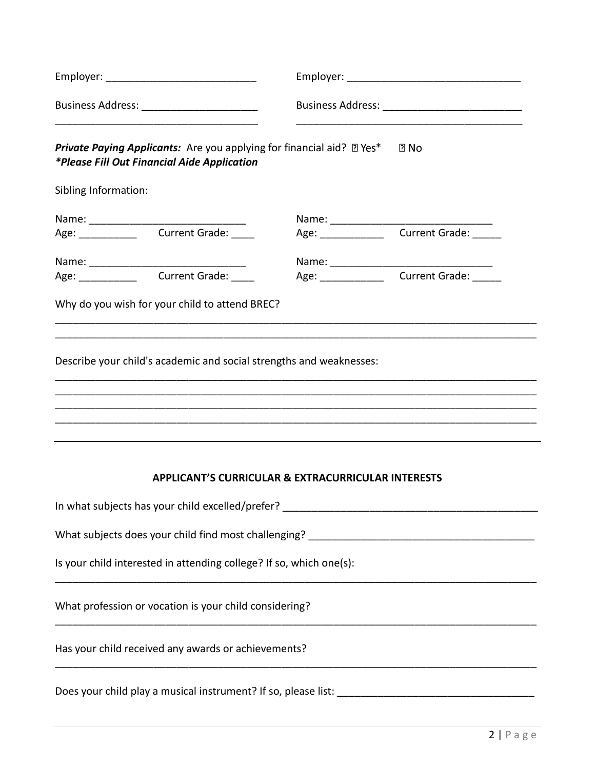| Business Address: ________________________ |                                                                                                                                                                       |  |                                                                                   |  |
|--------------------------------------------|-----------------------------------------------------------------------------------------------------------------------------------------------------------------------|--|-----------------------------------------------------------------------------------|--|
|                                            | <b>Private Paying Applicants:</b> Are you applying for financial aid? <b>II</b> Yes <sup>*</sup> I <b>II</b> No<br><i>*Please Fill Out Financial Aide Application</i> |  |                                                                                   |  |
| Sibling Information:                       |                                                                                                                                                                       |  |                                                                                   |  |
|                                            |                                                                                                                                                                       |  |                                                                                   |  |
|                                            |                                                                                                                                                                       |  |                                                                                   |  |
|                                            |                                                                                                                                                                       |  |                                                                                   |  |
|                                            | Age: Current Grade:                                                                                                                                                   |  | Age: ________________________Current Grade:                                       |  |
|                                            | Why do you wish for your child to attend BREC?                                                                                                                        |  |                                                                                   |  |
|                                            | Describe your child's academic and social strengths and weaknesses:                                                                                                   |  |                                                                                   |  |
|                                            | <b>APPLICANT'S CURRICULAR &amp; EXTRACURRICULAR INTERESTS</b>                                                                                                         |  |                                                                                   |  |
|                                            |                                                                                                                                                                       |  | In what subjects has your child excelled/prefer? ________________________________ |  |
|                                            |                                                                                                                                                                       |  |                                                                                   |  |
|                                            | Is your child interested in attending college? If so, which one(s):                                                                                                   |  |                                                                                   |  |
|                                            | What profession or vocation is your child considering?                                                                                                                |  |                                                                                   |  |
|                                            | Has your child received any awards or achievements?                                                                                                                   |  |                                                                                   |  |
|                                            |                                                                                                                                                                       |  |                                                                                   |  |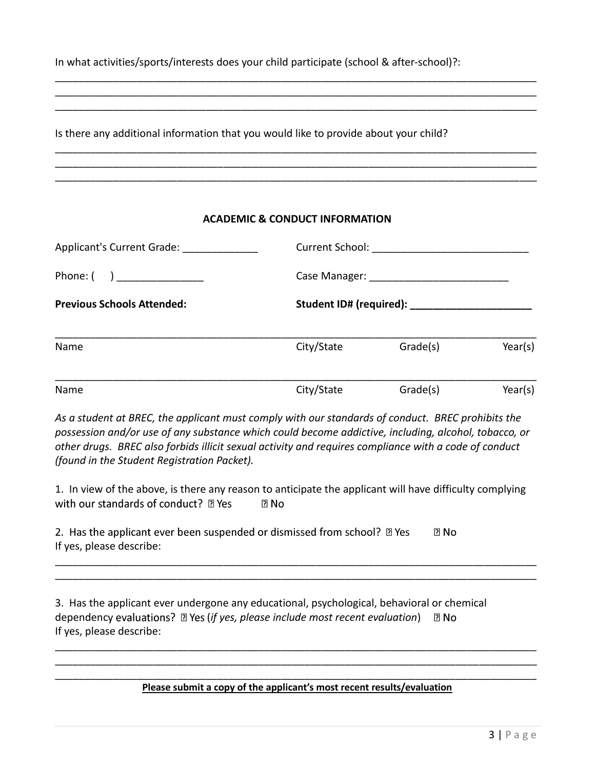In what activities/sports/interests does your child participate (school & after-school)?:

Is there any additional information that you would like to provide about your child?

## **ACADEMIC & CONDUCT INFORMATION**

\_\_\_\_\_\_\_\_\_\_\_\_\_\_\_\_\_\_\_\_\_\_\_\_\_\_\_\_\_\_\_\_\_\_\_\_\_\_\_\_\_\_\_\_\_\_\_\_\_\_\_\_\_\_\_\_\_\_\_\_\_\_\_\_\_\_\_\_\_\_\_\_\_\_\_\_\_\_\_\_\_\_\_ \_\_\_\_\_\_\_\_\_\_\_\_\_\_\_\_\_\_\_\_\_\_\_\_\_\_\_\_\_\_\_\_\_\_\_\_\_\_\_\_\_\_\_\_\_\_\_\_\_\_\_\_\_\_\_\_\_\_\_\_\_\_\_\_\_\_\_\_\_\_\_\_\_\_\_\_\_\_\_\_\_\_\_ \_\_\_\_\_\_\_\_\_\_\_\_\_\_\_\_\_\_\_\_\_\_\_\_\_\_\_\_\_\_\_\_\_\_\_\_\_\_\_\_\_\_\_\_\_\_\_\_\_\_\_\_\_\_\_\_\_\_\_\_\_\_\_\_\_\_\_\_\_\_\_\_\_\_\_\_\_\_\_\_\_\_\_

\_\_\_\_\_\_\_\_\_\_\_\_\_\_\_\_\_\_\_\_\_\_\_\_\_\_\_\_\_\_\_\_\_\_\_\_\_\_\_\_\_\_\_\_\_\_\_\_\_\_\_\_\_\_\_\_\_\_\_\_\_\_\_\_\_\_\_\_\_\_\_\_\_\_\_\_\_\_\_\_\_\_\_ \_\_\_\_\_\_\_\_\_\_\_\_\_\_\_\_\_\_\_\_\_\_\_\_\_\_\_\_\_\_\_\_\_\_\_\_\_\_\_\_\_\_\_\_\_\_\_\_\_\_\_\_\_\_\_\_\_\_\_\_\_\_\_\_\_\_\_\_\_\_\_\_\_\_\_\_\_\_\_\_\_\_\_ \_\_\_\_\_\_\_\_\_\_\_\_\_\_\_\_\_\_\_\_\_\_\_\_\_\_\_\_\_\_\_\_\_\_\_\_\_\_\_\_\_\_\_\_\_\_\_\_\_\_\_\_\_\_\_\_\_\_\_\_\_\_\_\_\_\_\_\_\_\_\_\_\_\_\_\_\_\_\_\_\_\_\_

| Applicant's Current Grade:                            |            |          |         |  |
|-------------------------------------------------------|------------|----------|---------|--|
| Phone: $\begin{pmatrix} 1 & 1 \\ 1 & 1 \end{pmatrix}$ |            |          |         |  |
| <b>Previous Schools Attended:</b>                     |            |          |         |  |
| Name                                                  | City/State | Grade(s) | Year(s) |  |
| Name                                                  | City/State | Grade(s) | Year(s) |  |

*As a student at BREC, the applicant must comply with our standards of conduct. BREC prohibits the possession and/or use of any substance which could become addictive, including, alcohol, tobacco, or other drugs. BREC also forbids illicit sexual activity and requires compliance with a code of conduct (found in the Student Registration Packet).*

1. In view of the above, is there any reason to anticipate the applicant will have difficulty complying with our standards of conduct? ? Yes  $R$  No

\_\_\_\_\_\_\_\_\_\_\_\_\_\_\_\_\_\_\_\_\_\_\_\_\_\_\_\_\_\_\_\_\_\_\_\_\_\_\_\_\_\_\_\_\_\_\_\_\_\_\_\_\_\_\_\_\_\_\_\_\_\_\_\_\_\_\_\_\_\_\_\_\_\_\_\_\_\_\_\_\_\_\_ \_\_\_\_\_\_\_\_\_\_\_\_\_\_\_\_\_\_\_\_\_\_\_\_\_\_\_\_\_\_\_\_\_\_\_\_\_\_\_\_\_\_\_\_\_\_\_\_\_\_\_\_\_\_\_\_\_\_\_\_\_\_\_\_\_\_\_\_\_\_\_\_\_\_\_\_\_\_\_\_\_\_\_

2. Has the applicant ever been suspended or dismissed from school? 2 Yes  $\Box$  No If yes, please describe:

3. Has the applicant ever undergone any educational, psychological, behavioral or chemical dependency evaluations? **Deta (if yes, please include most recent evaluation**) **De No** If yes, please describe:

\_\_\_\_\_\_\_\_\_\_\_\_\_\_\_\_\_\_\_\_\_\_\_\_\_\_\_\_\_\_\_\_\_\_\_\_\_\_\_\_\_\_\_\_\_\_\_\_\_\_\_\_\_\_\_\_\_\_\_\_\_\_\_\_\_\_\_\_\_\_\_\_\_\_\_\_\_\_\_\_\_\_\_ **Please submit a copy of the applicant's most recent results/evaluation**

\_\_\_\_\_\_\_\_\_\_\_\_\_\_\_\_\_\_\_\_\_\_\_\_\_\_\_\_\_\_\_\_\_\_\_\_\_\_\_\_\_\_\_\_\_\_\_\_\_\_\_\_\_\_\_\_\_\_\_\_\_\_\_\_\_\_\_\_\_\_\_\_\_\_\_\_\_\_\_\_\_\_\_ \_\_\_\_\_\_\_\_\_\_\_\_\_\_\_\_\_\_\_\_\_\_\_\_\_\_\_\_\_\_\_\_\_\_\_\_\_\_\_\_\_\_\_\_\_\_\_\_\_\_\_\_\_\_\_\_\_\_\_\_\_\_\_\_\_\_\_\_\_\_\_\_\_\_\_\_\_\_\_\_\_\_\_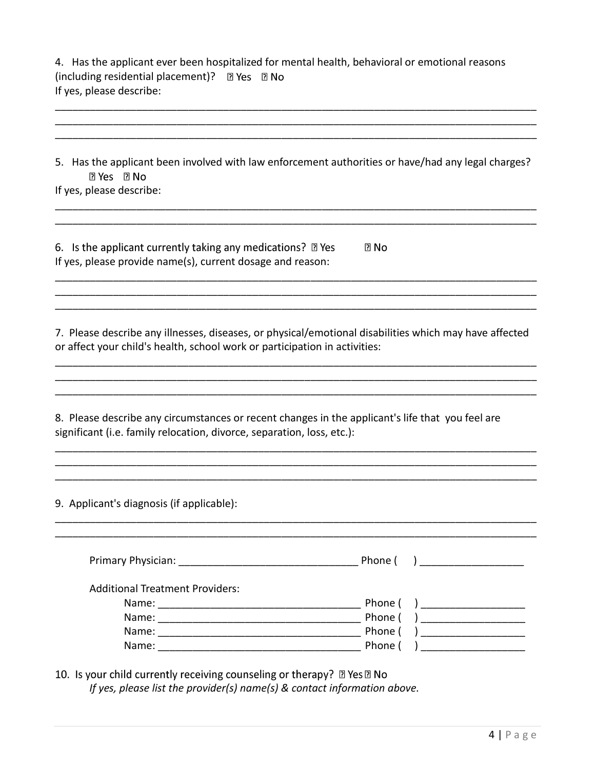4. Has the applicant ever been hospitalized for mental health, behavioral or emotional reasons (including residential placement)? 2 Yes 2 No If yes, please describe:

\_\_\_\_\_\_\_\_\_\_\_\_\_\_\_\_\_\_\_\_\_\_\_\_\_\_\_\_\_\_\_\_\_\_\_\_\_\_\_\_\_\_\_\_\_\_\_\_\_\_\_\_\_\_\_\_\_\_\_\_\_\_\_\_\_\_\_\_\_\_\_\_\_\_\_\_\_\_\_\_\_\_\_

| 5. Has the applicant been involved with law enforcement authorities or have/had any legal charges?<br><b>7 Yes 7 No</b><br>If yes, please describe:                                  |                           |
|--------------------------------------------------------------------------------------------------------------------------------------------------------------------------------------|---------------------------|
|                                                                                                                                                                                      |                           |
| 6. Is the applicant currently taking any medications? $\mathbb D$ Yes<br>If yes, please provide name(s), current dosage and reason:                                                  | $\Box$ No                 |
|                                                                                                                                                                                      |                           |
|                                                                                                                                                                                      |                           |
| 7. Please describe any illnesses, diseases, or physical/emotional disabilities which may have affected<br>or affect your child's health, school work or participation in activities: |                           |
|                                                                                                                                                                                      |                           |
|                                                                                                                                                                                      |                           |
| 8. Please describe any circumstances or recent changes in the applicant's life that you feel are<br>significant (i.e. family relocation, divorce, separation, loss, etc.):           |                           |
|                                                                                                                                                                                      |                           |
| 9. Applicant's diagnosis (if applicable):                                                                                                                                            |                           |
|                                                                                                                                                                                      |                           |
|                                                                                                                                                                                      | Phone (<br>$\overline{a}$ |
| <b>Additional Treatment Providers:</b>                                                                                                                                               |                           |
|                                                                                                                                                                                      | Phone (                   |
|                                                                                                                                                                                      | Phone (                   |
|                                                                                                                                                                                      | Phone (                   |
|                                                                                                                                                                                      | Phone (                   |

10. Is your child currently receiving counseling or therapy? 2 Yes 2 No *If yes, please list the provider(s) name(s) & contact information above.*